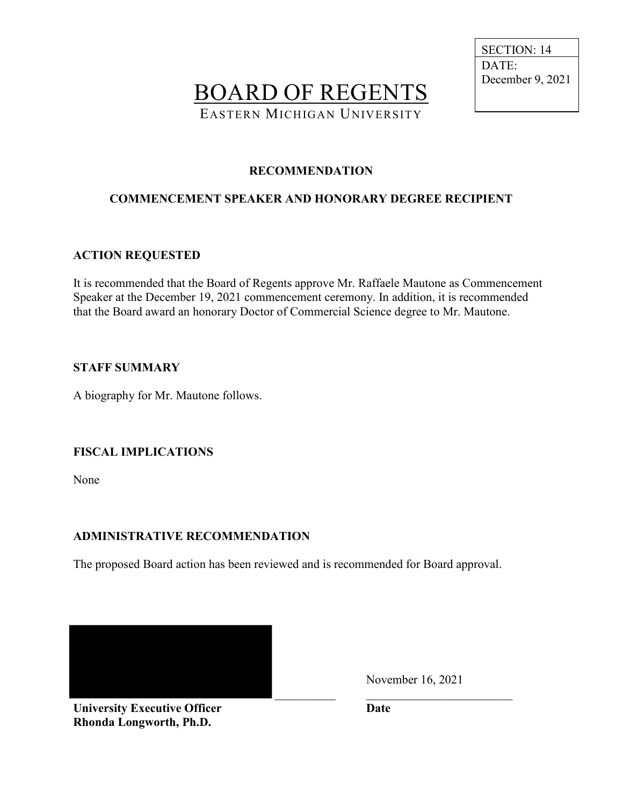BOARD OF REGENTS EASTERN MICHIGAN UNIVERSITY

 SECTION: 14 DATE: December 9, 2021

## **RECOMMENDATION**

# **COMMENCEMENT SPEAKER AND HONORARY DEGREE RECIPIENT**

#### **ACTION REQUESTED**

It is recommended that the Board of Regents approve Mr. Raffaele Mautone as Commencement Speaker at the December 19, 2021 commencement ceremony. In addition, it is recommended that the Board award an honorary Doctor of Commercial Science degree to Mr. Mautone.

#### **STAFF SUMMARY**

A biography for Mr. Mautone follows.

### **FISCAL IMPLICATIONS**

None

#### **ADMINISTRATIVE RECOMMENDATION**

The proposed Board action has been reviewed and is recommended for Board approval.

November 16, 2021

 $\_$  , and the set of the set of the set of the set of the set of the set of the set of the set of the set of the set of the set of the set of the set of the set of the set of the set of the set of the set of the set of th

**University Executive Officer Date Rhonda Longworth, Ph.D.**